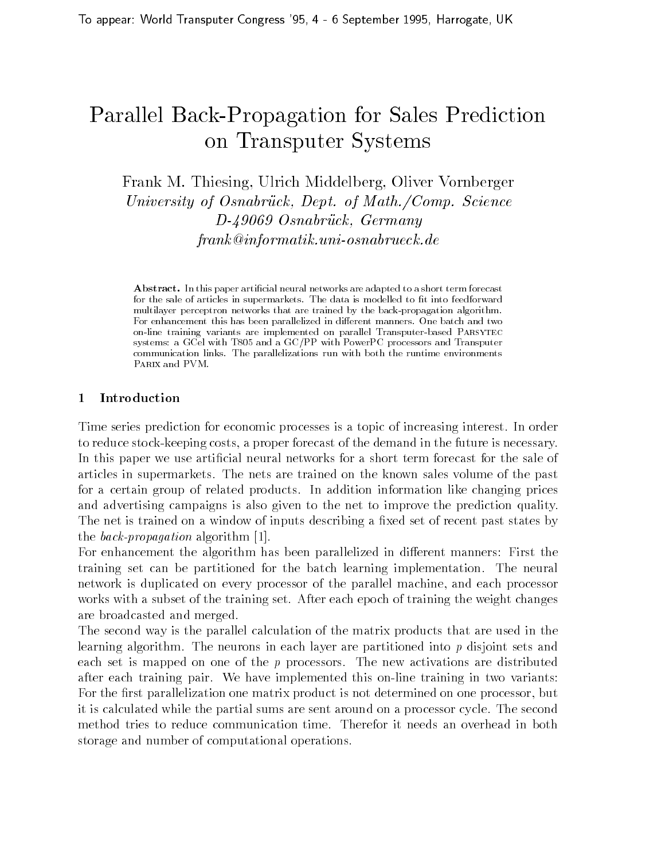# Parallel Back-Propagation for Sales Prediction on Transputer Systems

Frank M. Thiesing, Ulrich Middelberg, Oliver Vornberger University of Osnable work, Depth-of Mathematic Direction of Seconds of Depth- $D-49069$  Osnabrück, Germany uniosa e cicumatica contra contra e cicumatica contra contra contra

Abstract. In this paper artificial neural networks are adapted to a short term forecast for the sale of articles in supermarkets. The data is modelled to fit into feedforward multilayer perceptron networks that are trained by the back-propagation algorithmFor enhancement this has been parallelized in different manners. One batch and two on-line training variants are implemented on parallel Transputer-based Parsytec systems: a GCel with T805 and a GC/PP with PowerPC processors and Transputer communication links. The parallelizations run with both the runtime environments PARIX and PVM.

Time series prediction for economic processes is a topic of increasing interest In order to reduce stock experiments of the demonstration of the future is necessary in the future is necessary in the future is necessary in the future is necessary in the future is necessary in the future in the future is necess In this paper we use artificial neural networks for a short term forecast for the sale of articles in supermarkets The nets are trained on the known sales volume of the past for a certain group of related products In addition information like changing prices and advertising campaigns is also given to the net to improve the prediction quality The net is trained on a window of inputs describing a fixed set of recent past states by the back-propagation algorithm  $[1]$ .

For enhancement the algorithm has been parallelized in different manners: First the training set can be partitioned for the batch learning implementation The neural network is duplicated on every processor of the parallel machine- and each processor works with a subset of the training set After each epoch of training the weight changes are broadcasted and merged

The second way is the parallel calculation of the matrix products that are used in the learning algorithm. The neurons in each layer are partitioned into  $p$  disjoint sets and each set is mapped on one of the  $p$  processors. The new activations are distributed after each training pair. We have implemented this on-line training in two variants: For the rst parallelization one matrix product is not determined on one processor- but it is calculated while the partial sums are sent around on a processor cycle The second method tries to reduce communication time Therefor it needs an overhead in both storage and number of computational operations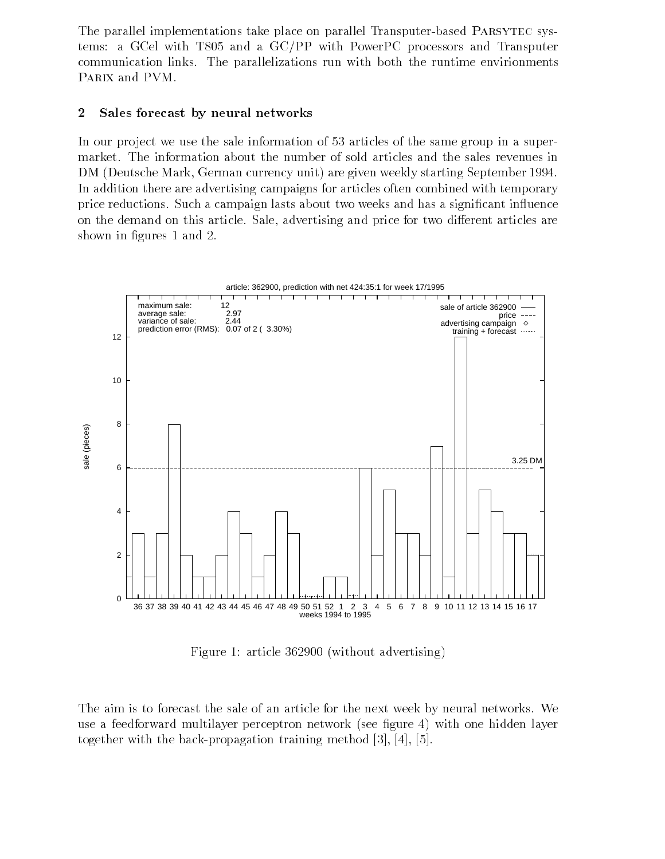The parallel implementations take place on parallel Transputer-based PARSYTEC systems a GCel with Transport and a GCPP with  $\Gamma$  and  $\Gamma$  and  $\Gamma$ communication links The parallelizations run with both the runtime envirionments PARIX and PVM.

### 2 Sales forecast by neural networks

In our project we use the sale information of 53 articles of the same group in a supermarket. The information about the number of sold articles and the sales revenues in om de starting market weekly unit are given weekly starting September 2019 and the starting September 2019 and In addition there are advertising campaigns for articles often combined with temporary price reductions. Such a campaign lasts about two weeks and has a significant influence on this article sa this article sale-price for the price  $\rho$  and price for the motion articles are the saleshown in figures 1 and 2.



- Anti-clear district and modern advertising and the second second and advertising and advertising and advertising and anti-

The aim is to forecast the sale of an article for the next week by neural networks. We use a feedforward multilayer perceptron network (see figure 4) with one hidden layer together with the backpropagation training method 
- -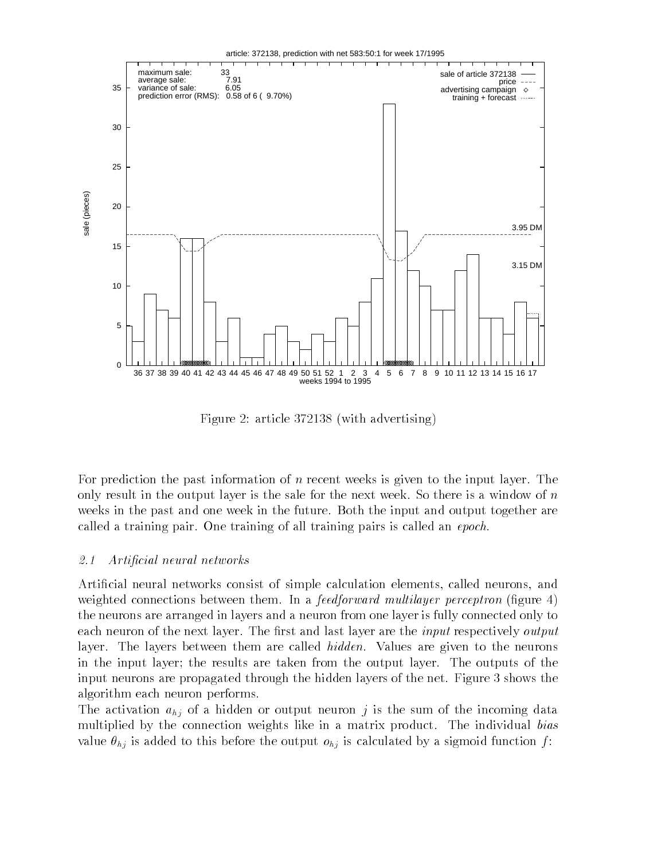

Figure 2: article  $372138$  (with advertising)

For prediction the past information of  $n$  recent weeks is given to the input layer. The only result in the output layer is the sale for the next week. So there is a window of  $n$ weeks in the past and one week in the future. Both the input and output together are called a training pair. One training of all training pairs is called an  $epoch$ .

#### $2.1$ Artificial neural networks

Articial neural networks consist of simple calculation elements- called neurons- and weighted connections between them. In a *feedforward multilayer perceptron* (figure 4) the neurons are arranged in layers and a neuron from one layer is fully connected only to each neuron of the next layer. The first and last layer are the *input* respectively *output* layer. The layers between them are called  $hidden$ . Values are given to the neurons in the input layer; the results are taken from the output layer. The outputs of the input neurons are propagated through the hidden layers of the net. Figure 3 shows the algorithm each neuron performs

The activation  $a_{hj}$  of a hidden or output neuron j is the sum of the incoming data multiplied by the connection weights like in a matrix product. The individual bias value  $\theta_{hj}$  is added to this before the output  $o_{hj}$  is calculated by a sigmoid function f: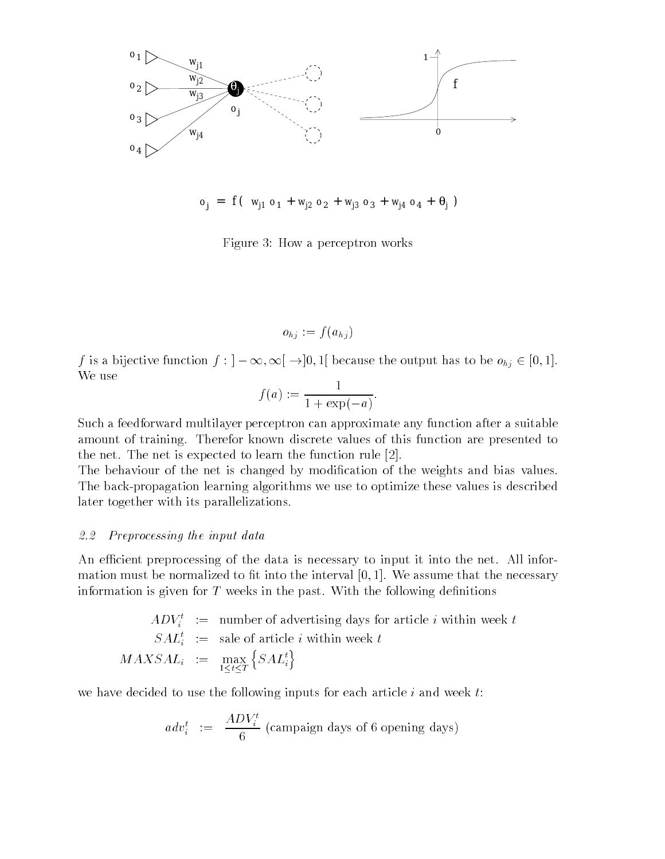

$$
o_j = f(w_{j1} o_1 + w_{j2} o_2 + w_{j3} o_3 + w_{j4} o_4 + \theta_j)
$$

Figure 3: How a perceptron works

 $o_{hj} := f(a_{hj})$ 

f is a bijective function f  $\left\{ \cdot \right\}$  is a because the output has to be only  $\subset$  [0, 1]. We use

$$
f(a) := \frac{1}{1 + \exp(-a)}.
$$

Such a feedforward multilayer perceptron can approximate any function after a suitable amount of training. Therefor known discrete values of this function are presented to the net. The net is expected to learn the function rule  $[2]$ .

The behaviour of the net is changed by modification of the weights and bias values. The back-propagation learning algorithms we use to optimize these values is described later together with its parallelizations

#### 2.2 Preprocessing the input data

An efficient preprocessing of the data is necessary to input it into the net. All information must be normalized to t into the interval We assume that the necessary information is given for  $T$  weeks in the past. With the following definitions

$$
ADV_i^t :=
$$
 number of advertising days for article *i* within week *t*  

$$
SAL_i^t :=
$$
 sale of article *i* within week *t*  

$$
MAXSAL_i :=
$$

$$
\max_{1 \leq t \leq T} \{SAL_i^t\}
$$

we have decided to use the following inputs for each article  $i$  and week  $t$ :

$$
adv_i^t := \frac{ADV_i^t}{6} \text{ (commain days of 6 opening days)}
$$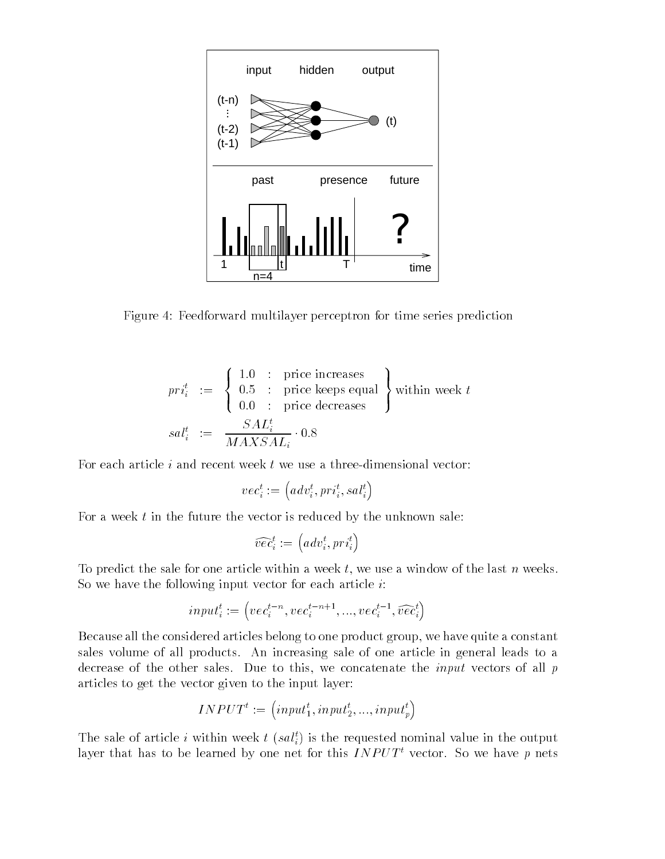

Figure 4: Feedforward multilayer perceptron for time series prediction

$$
pri_i^t := \begin{cases} 1.0 & : \text{ price increases} \\ 0.5 & : \text{ price keeps equal} \\ 0.0 & : \text{ price decreases} \end{cases} \text{ within week } t
$$
  

$$
sal_i^t := \frac{SAL_i^t}{MAXSAL_i} \cdot 0.8
$$

For each article  $i$  and recent week  $t$  we use a three-dimensional vector:

$$
vec^t_i := \left(adv^t_i, pri^t_i, sal^t_i\right)
$$

For a week  $t$  in the future the vector is reduced by the unknown sale:

$$
\widehat{vec}_i^t := \left( adv_i^t, pri_i^t \right)
$$

To predict the sale for one article within a week t- we use a window of the last n weeks So we have the following input vector for each article  $i$ :

$$
input_i^t := \left( vec_i^{t-n}, vec_i^{t-n+1}, ..., vec_i^{t-1}, \widehat{vec}_i^t \right)
$$

Because all the considered articles belong to one product group- we have quite a constant sales volume of all products. An increasing sale of one article in general leads to a decrease of the conce sales Due to this- we concelled the input vectors of all plants of  $\mu$ articles to get the vector given to the input layer

$$
INPUT^t := (input_1^t, input_2^t, ..., input_p^t)
$$

The sale of article i within week  $t$  (sai<sub>i</sub>) is the requested nominal value in the output layer that has to be learned by one net for this  $INPUT<sup>t</sup>$  vector. So we have p nets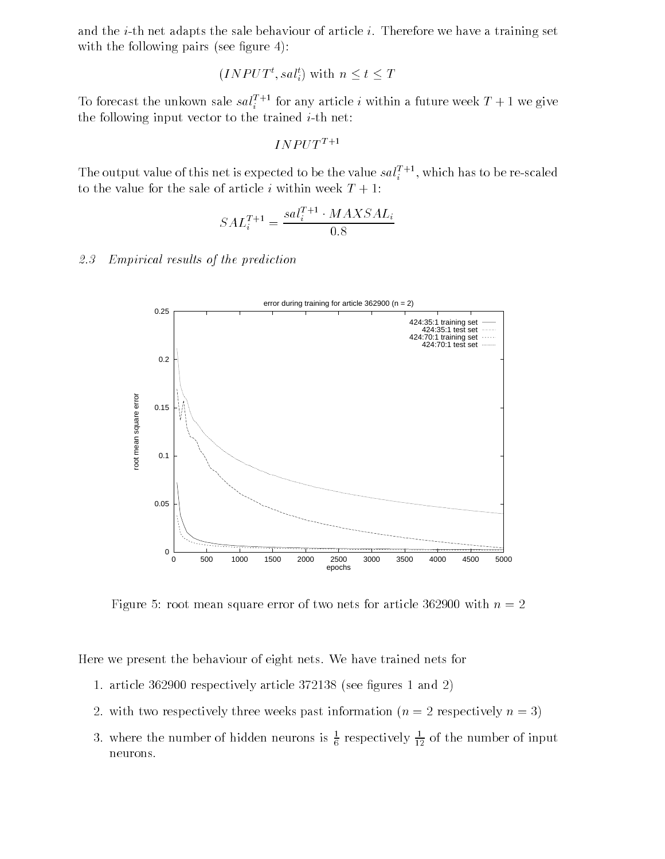and the *i*-th net adapts the sale behaviour of article *i*. Therefore we have a training set with the following pairs (see figure 4):

$$
(INPUT^t, sal_i^t)
$$
 with  $n \leq t \leq T$ 

To forecast the unkown sale  $sat_i^{\pm}$  for any article i within a future week  $T + 1$  we give the following input vector to the trained  $i$ -th net:

 $INPUT^{T+1}$ 

The output value of this net is expected to be the value  $sat_i^{\pm}$  , which has to be re-scaled to the value for the sale of article i within week  $T + 1$ :

$$
SAL_i^{T+1} = \frac{sal_i^{T+1} \cdot MAXSAL_i}{0.8}
$$

#### $2.3$ Empirical results of the prediction



Figure root mean square error of two nets for article with n

Here we present the behaviour of eight nets. We have trained nets for

- article article article is and the contract of the second contract  $\blacksquare$
- 2. with two respectively three weeks past information  $(n = 2$  respectively  $n = 3$ )
- 3. Where the number of hidden neurons is  $\frac{1}{6}$  respectively  $\frac{1}{12}$  of the number of input neurons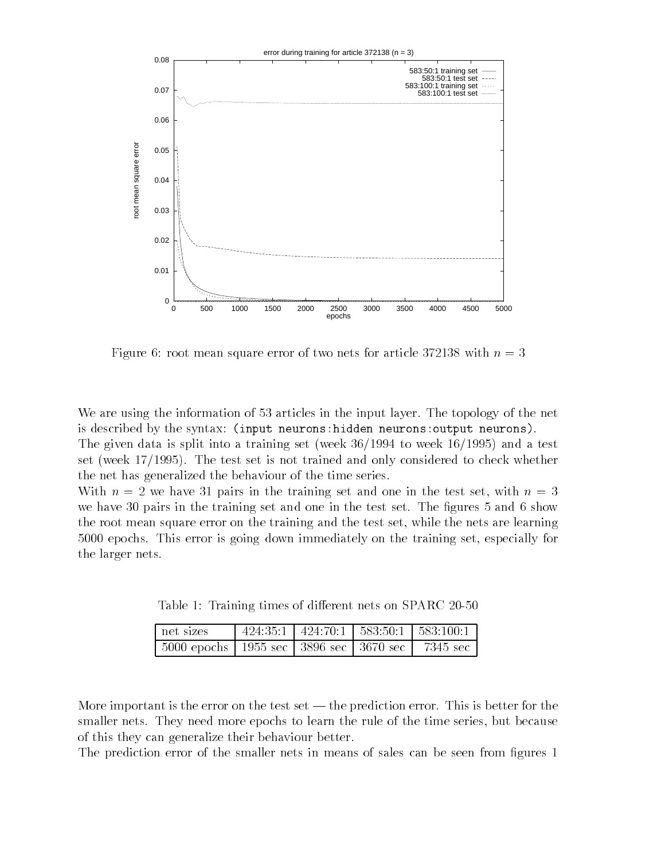

Figure 6: root mean square error of two nets for article 372138 with  $n=3$ 

We are using the information of 53 articles in the input layer. The topology of the net is described by the syntax input neuronshidden neuronsoutput neurons-

The given data is split into a training set (week  $36/1994$  to week  $16/1995$ ) and a test set (week  $17/1995$ ). The test set is not trained and only considered to check whether the net has generalized the behaviour of the time series

With n we have 
 pairs in the training set and one in the test set- with n we have the training set and one in the test set and one in the test set  $\mathbf{r}$ the root mean square error on the training and the test set- while the nets are learning epochs This error is going down immediately on the training set- especially for the larger nets

Table Training times of dierent nets on SPARC

| net sizes                                               |  | $424:35:1$   $424:70:1$   $583:50:1$   $583:100:1$ |
|---------------------------------------------------------|--|----------------------------------------------------|
| 5000 epochs   1955 sec   3896 sec   3670 sec   7345 sec |  |                                                    |

More important is the error on the test set  $-$  the prediction error. This is better for the smaller nets They need more epochs to learn the rule of the time series- but because of this they can generalize their behaviour better

The prediction error of the smaller nets in means of sales can be seen from figures 1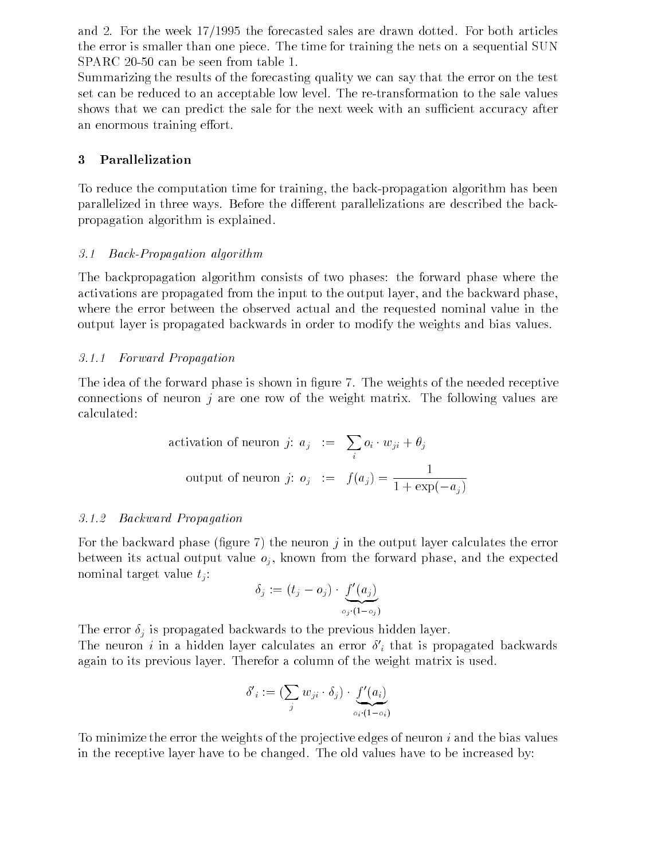and 2. For the week  $17/1995$  the forecasted sales are drawn dotted. For both articles the error is smaller than one piece The time for training the nets on a sequential SUN

Summarizing the results of the forecasting quality we can say that the error on the test set can be reduced to an acceptable low level The retransformation to the sale values shows that we can predict the sale for the next week with an sufficient accuracy after an enormous training effort.

#### -Parallelization

To reduce the computation time for the backpropagation time for the backpropagation algorithm has been for the backpropagation of  $\mathcal{M}$ parallelized in three ways. Before the different parallelizations are described the backpropagation algorithm is explained

### 3.1 Back-Propagation algorithm

The backpropagation algorithm consists of two phases the forward phase where the activations are propagated from the input to the output layer- and the backward phasewhere the error between the observed actual and the requested nominal value in the output layer is propagated backwards in order to modify the weights and bias values

### -- Forward Propagation

The idea of the forward phase is shown in figure 7. The weights of the needed receptive connections of neuron  $i$  are one row of the weight matrix. The following values are calculated

activation of neuron *j*: 
$$
a_j := \sum_i o_i \cdot w_{ji} + \theta_j
$$
  
output of neuron *j*:  $o_j := f(a_j) = \frac{1}{1 + \exp(-a_j)}$ 

### Backward Propagation

For the backward phase (figure 7) the neuron j in the output layer calculates the error . It were its actual output values of a complete output values of the forward phase-  $\alpha$  and the expected of nominal target value  $t_i$ :

$$
\delta_j := (t_j - o_j) \cdot \underbrace{f'(a_j)}_{o_j \cdot (1 - o_j)}
$$

The error  $\delta_j$  is propagated backwards to the previous hidden layer. The neuron  $i$  in a hidden layer calculates an error  $\sigma_i$  that is propagated backwards again to its previous layer. Therefor a column of the weight matrix is used.

$$
\delta'_{i} := (\sum_{j} w_{ji} \cdot \delta_{j}) \cdot \underbrace{f'(a_{i})}_{o_{i} \cdot (1 - o_{i})}
$$

To minimize the error the weights of the projective edges of neuron  $i$  and the bias values in the receptive layer have to be changed. The old values have to be increased by: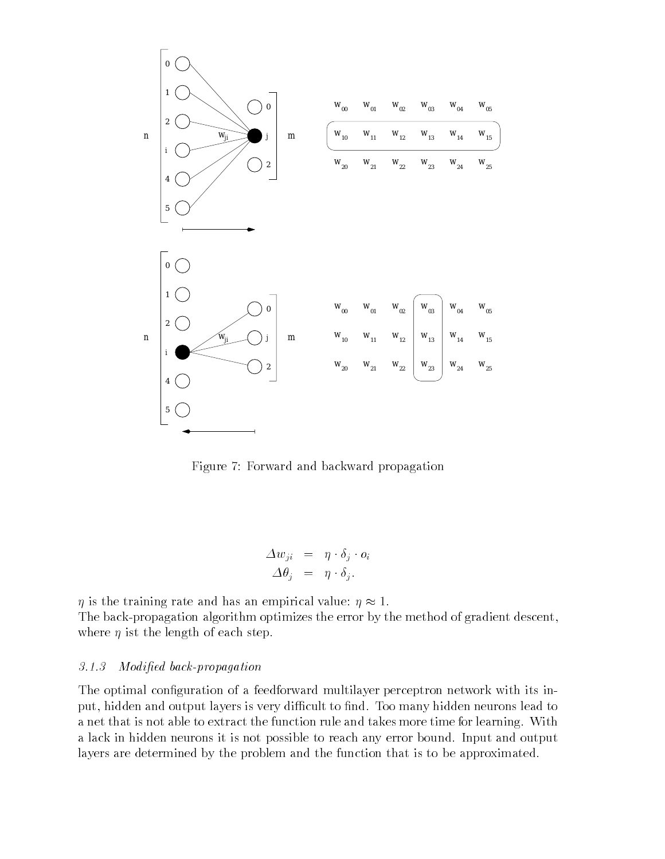

Figure 7: Forward and backward propagation

$$
\Delta w_{ji} = \eta \cdot \delta_j \cdot o_i
$$
  

$$
\Delta \theta_i = \eta \cdot \delta_i.
$$

 $\eta$  is the training rate and has an empirical value:  $\eta \approx 1$ . The back-propagation algorithm optimizes the error by the method of gradient descent, where  $\eta$  ist the length of each step.

#### Modified back-propagation

The optimal configuration of a feedforward multilayer perceptron network with its input-layers is very distribution of the second to note that the second to and the Too many hidden to not a second a net that is not able to extract the function rule and takes more time for learning. With a lack in hidden neurons it is not possible to reach any error bound. Input and output layers are determined by the problem and the function that is to be approximated.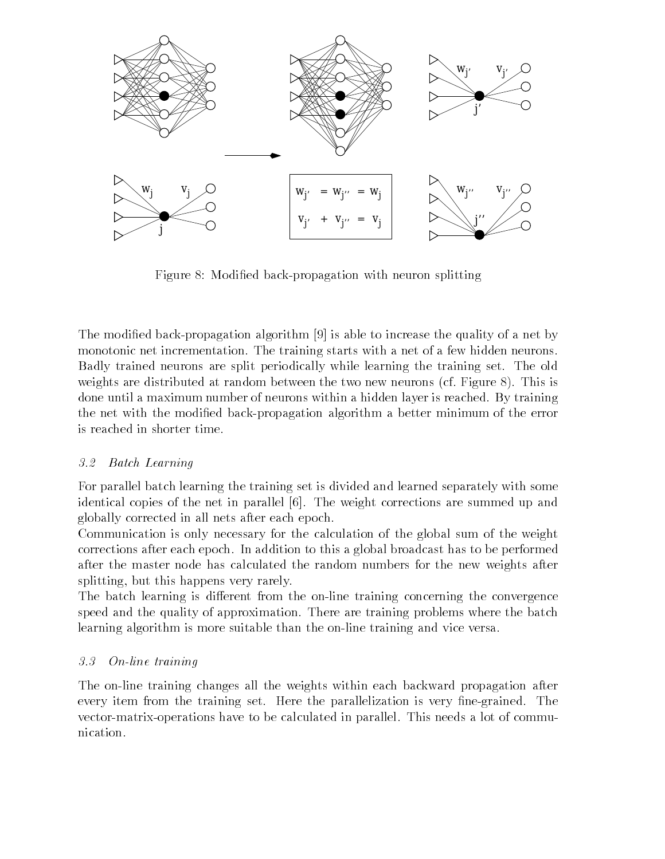

Figure 8: Modified back-propagation with neuron splitting

The modified back-propagation algorithm  $[9]$  is able to increase the quality of a net by monotonic net incrementation. The training starts with a net of a few hidden neurons. Badly trained neurons are split periodically while learning the training set The old weights are distributed at random between the two new neurons (cf. Figure  $\delta$ ). This is done until a maximum number of neurons within a hidden layer is reached. By training the net with the modified back-propagation algorithm a better minimum of the error is reached in shorter time

#### 3.2 Batch Learning

For parallel batch learning the training set is divided and learned separately with some identical copies of the net in parallel [6]. The weight corrections are summed up and globally corrected in all nets after each epoch

Communication is only necessary for the calculation of the global sum of the weight corrections after each epoch In addition to this a global broadcast has to be performed after the master node has calculated the random numbers for the new weights after splitting-but this happens very rarely rarely rarely rarely rarely rarely rarely rarely rarely rarely rarely r

The batch learning is different from the on-line training concerning the convergence speed and the quality of approximation. There are training problems where the batch learning algorithm is more suitable than the on-line training and vice versa.

#### $3.3$ On-line training

The on-line training changes all the weights within each backward propagation after every item from the training set. Here the parallelization is very fine-grained. The vector-matrix-operations have to be calculated in parallel. This needs a lot of communication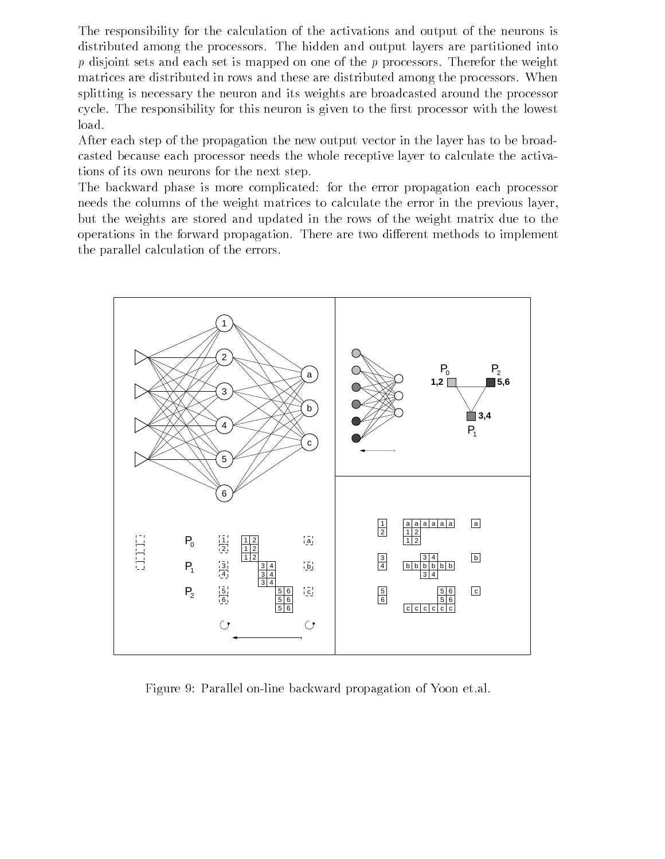The responsibility for the calculation of the activations and output of the neurons is distributed among the processors The hidden and output layers are partitioned into  $p$  disjoint sets and each set is mapped on one of the  $p$  processors. Therefor the weight matrices are distributed in rows and these are distributed among the processors When splitting is necessary the neuron and its weights are broadcasted around the processor cycle. The responsibility for this neuron is given to the first processor with the lowest load

After each step of the propagation the new output vector in the layer has to be broad casted because each processor needs the whole receptive layer to calculate the activa tions of its own neurons for the next step

The backward phase is more complicated: for the error propagation each processor needs the columns of the weight matrices to calculate the error in the previous layer, but the weights are stored and updated in the rows of the weight matrix due to the operations in the forward propagation. There are two different methods to implement the parallel calculation of the errors



Figure 9: Parallel on-line backward propagation of Yoon et.al.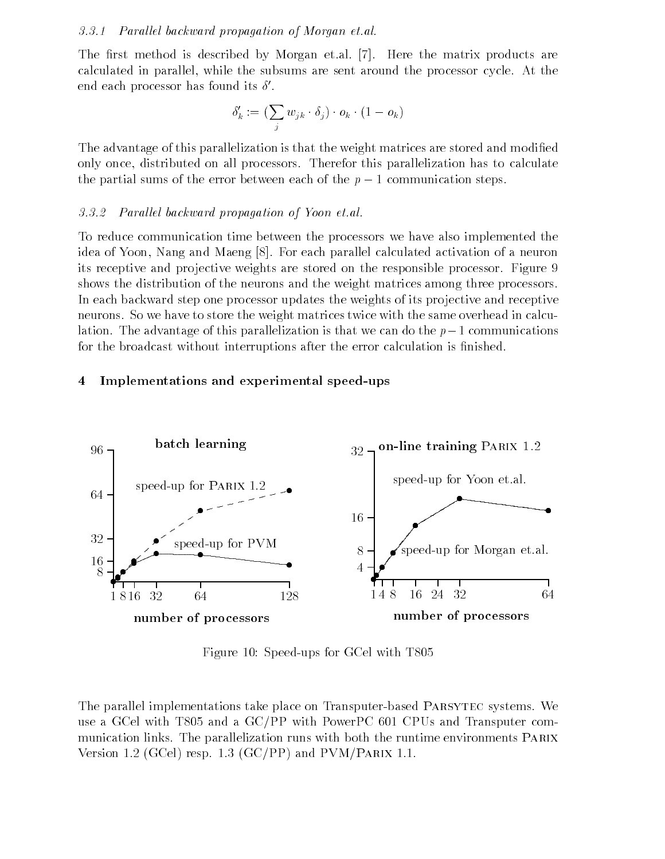#### -- Paral lel backward propagation of Morgan et-al-

The first method is described by Morgan et.al. [7]. Here the matrix products are calculated in parallel- while the subsums are sent around the processor cycle At the end eacn processor nas found its  $\mathfrak o$  .

$$
\delta'_k := (\sum_j w_{jk} \cdot \delta_j) \cdot o_k \cdot (1 - o_k)
$$

The advantage of this parallelization is that the weight matrices are stored and modified only once- distributed on all processors Therefor this parallelization has to calculate the partial sums of the error between each of the  $p-1$  communication steps.

#### Paral lel backward propagation of Yoon et-al-

To reduce communication time between the processors we have also implemented the idea of Young Albert Calculated II and March 2002, and March 2003. In the calculated activation of a neuron of its receptive and projective weights are stored on the responsible processor. Figure 9 shows the distribution of the neurons and the weight matrices among three processors In each backward step one processor updates the weights of its projective and receptive neurons. So we have to store the weight matrices twice with the same overhead in calculation. The advantage of this parallelization is that we can do the  $p-1$  communications for the broadcast without interruptions after the error calculation is finished.

#### 4 Implementations and experimental speed-ups



Figure Speedups for GCel with T 

The parallel implementations take place on Transputer-based PARSYTEC systems. We use a GCPP with Transputer and a GCPP with PowerPC  $\Gamma$ munication links The parallelization runs with both the runtime environments Parix Version 1.2 (GCel) resp. 1.3 (GC/PP) and  $PVM/PARIX$  1.1.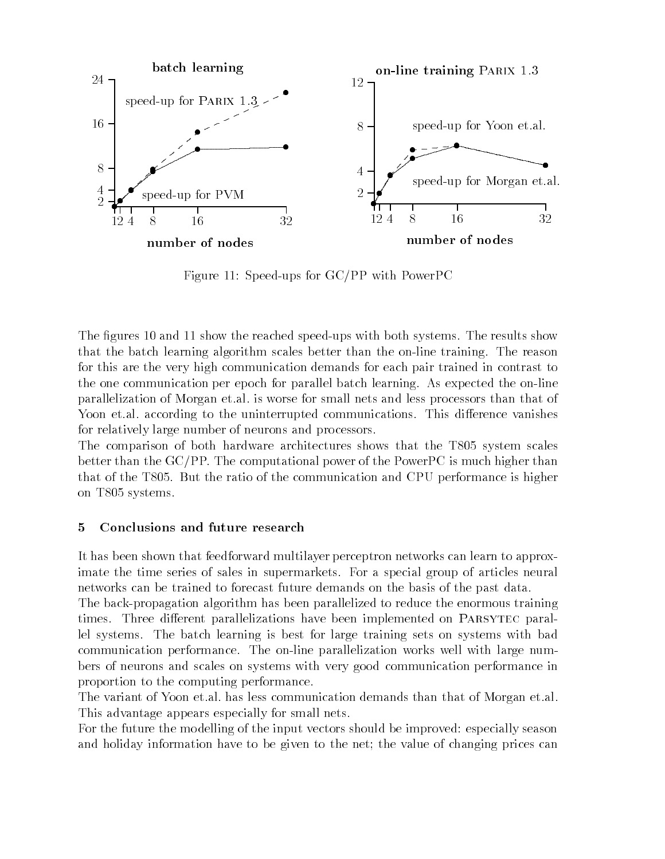

Figure 11: Speed-ups for  $GC/PP$  with PowerPC

The guarantees of the state state in the state state state  $\alpha$  results show the results show the results show that the batch learning algorithm scales better than the on-line training. The reason for this are the very high communication demands for each pair trained in contrast to the one communication per epoch for parallel batch learning. As expected the on-line parallelization of Morgan et al. is worse for small nets and less processors than that of Yoon etal according to the uninterrupted communications. This difference vanishes for relatively large number of neurons and processors

The comparison of both hardware architectures shows that the T $\alpha$  system scales shows that the T $\alpha$ better than the  $GC/PP$ . The computational power of the PowerPC is much higher than that the the Total Communication and the communication and CPU performance is higher is on The Second Contract of the Second Contract of the Second Contract of the Second Contract of the Second Contract of the Second Contract of the Second Contract of the Second Contract of the Second Contract of the Second C

## Conclusions and future research

It has been shown that feedforward multilayer perceptron networks can learn to approx imate the time series of sales in supermarkets. For a special group of articles neural networks can be trained to forecast future demands on the basis of the past data

The back-propagation algorithm has been parallelized to reduce the enormous training times. Three different parallelizations have been implemented on PARSYTEC parallel systems The batch learning is best for large training sets on systems with bad communication performance. The on-line parallelization works well with large numbers of neurons and scales on systems with very good communication performance in proportion to the computing performance

The variant of Yoon et al. has less communication demands than that of Morgan et al. This advantage appears especially for small nets

For the future the modelling of the input vectors should be improved: especially season and holiday information have to be given to the net; the value of changing prices can